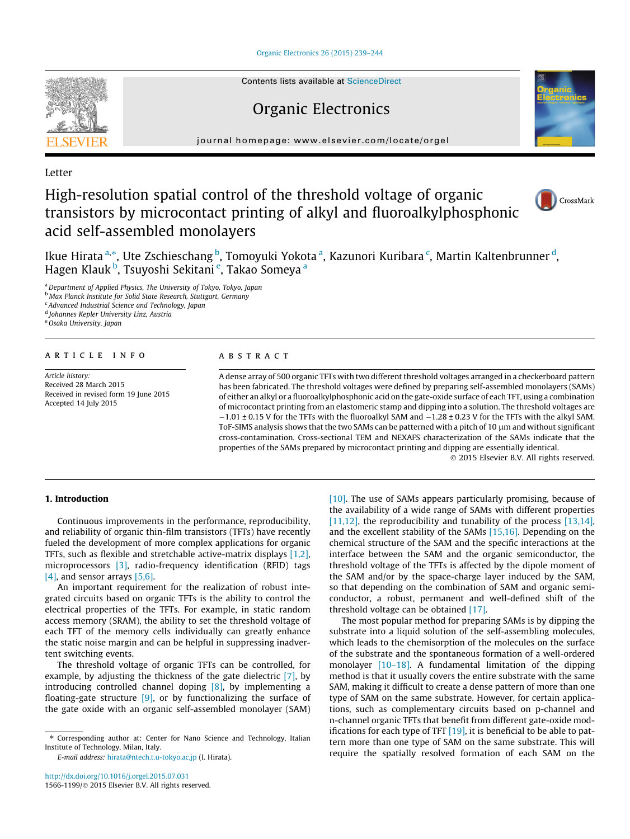[Organic Electronics 26 \(2015\) 239–244](http://dx.doi.org/10.1016/j.orgel.2015.07.031)



Contents lists available at [ScienceDirect](http://www.sciencedirect.com/science/journal/15661199)

## Organic Electronics

journal homepage: [www.elsevier.com/locate/orgel](http://www.elsevier.com/locate/orgel)

Letter

# High-resolution spatial control of the threshold voltage of organic transistors by microcontact printing of alkyl and fluoroalkylphosphonic acid self-assembled monolayers





Ikue Hirata <sup>a,</sup>\*, Ute Zschieschang <sup>b</sup>, Tomoyuki Yokota <sup>a</sup>, Kazunori Kuribara <sup>c</sup>, Martin Kaltenbrunner <sup>d</sup>, Hagen Klauk <sup>b</sup>, Tsuyoshi Sekitani <sup>e</sup>, Takao Someya <sup>a</sup>

a Department of Applied Physics, The University of Tokyo, Tokyo, Japan

**b Max Planck Institute for Solid State Research, Stuttgart, Germany** 

<sup>c</sup> Advanced Industrial Science and Technology, Japan

<sup>d</sup> Johannes Kepler University Linz, Austria

e Osaka University, Japan

### article info

Article history: Received 28 March 2015 Received in revised form 19 June 2015 Accepted 14 July 2015

#### **ABSTRACT**

A dense array of 500 organic TFTs with two different threshold voltages arranged in a checkerboard pattern has been fabricated. The threshold voltages were defined by preparing self-assembled monolayers (SAMs) of either an alkyl or a fluoroalkylphosphonic acid on the gate-oxide surface of each TFT, using a combination of microcontact printing from an elastomeric stamp and dipping into a solution. The threshold voltages are  $-1.01 \pm 0.15$  V for the TFTs with the fluoroalkyl SAM and  $-1.28 \pm 0.23$  V for the TFTs with the alkyl SAM. ToF-SIMS analysis shows that the two SAMs can be patterned with a pitch of 10  $\mu$ m and without significant cross-contamination. Cross-sectional TEM and NEXAFS characterization of the SAMs indicate that the properties of the SAMs prepared by microcontact printing and dipping are essentially identical.

- 2015 Elsevier B.V. All rights reserved.

## 1. Introduction

Continuous improvements in the performance, reproducibility, and reliability of organic thin-film transistors (TFTs) have recently fueled the development of more complex applications for organic TFTs, such as flexible and stretchable active-matrix displays [\[1,2\],](#page-5-0) microprocessors [\[3\]](#page-5-0), radio-frequency identification (RFID) tags [\[4\]](#page-5-0), and sensor arrays [\[5,6\].](#page-5-0)

An important requirement for the realization of robust integrated circuits based on organic TFTs is the ability to control the electrical properties of the TFTs. For example, in static random access memory (SRAM), the ability to set the threshold voltage of each TFT of the memory cells individually can greatly enhance the static noise margin and can be helpful in suppressing inadvertent switching events.

The threshold voltage of organic TFTs can be controlled, for example, by adjusting the thickness of the gate dielectric [\[7\]](#page-5-0), by introducing controlled channel doping [\[8\],](#page-5-0) by implementing a floating-gate structure [\[9\],](#page-5-0) or by functionalizing the surface of the gate oxide with an organic self-assembled monolayer (SAM)

E-mail address: [hirata@ntech.t.u-tokyo.ac.jp](mailto:hirata@ntech.t.u-tokyo.ac.jp) (I. Hirata).

[\[10\].](#page-5-0) The use of SAMs appears particularly promising, because of the availability of a wide range of SAMs with different properties [\[11,12\]](#page-5-0), the reproducibility and tunability of the process [\[13,14\],](#page-5-0) and the excellent stability of the SAMs [\[15,16\].](#page-5-0) Depending on the chemical structure of the SAM and the specific interactions at the interface between the SAM and the organic semiconductor, the threshold voltage of the TFTs is affected by the dipole moment of the SAM and/or by the space-charge layer induced by the SAM, so that depending on the combination of SAM and organic semiconductor, a robust, permanent and well-defined shift of the threshold voltage can be obtained [\[17\]](#page-5-0).

The most popular method for preparing SAMs is by dipping the substrate into a liquid solution of the self-assembling molecules, which leads to the chemisorption of the molecules on the surface of the substrate and the spontaneous formation of a well-ordered monolayer [\[10–18\]](#page-5-0). A fundamental limitation of the dipping method is that it usually covers the entire substrate with the same SAM, making it difficult to create a dense pattern of more than one type of SAM on the same substrate. However, for certain applications, such as complementary circuits based on p-channel and n-channel organic TFTs that benefit from different gate-oxide modifications for each type of TFT  $[19]$ , it is beneficial to be able to pattern more than one type of SAM on the same substrate. This will require the spatially resolved formation of each SAM on the

<sup>⇑</sup> Corresponding author at: Center for Nano Science and Technology, Italian Institute of Technology, Milan, Italy.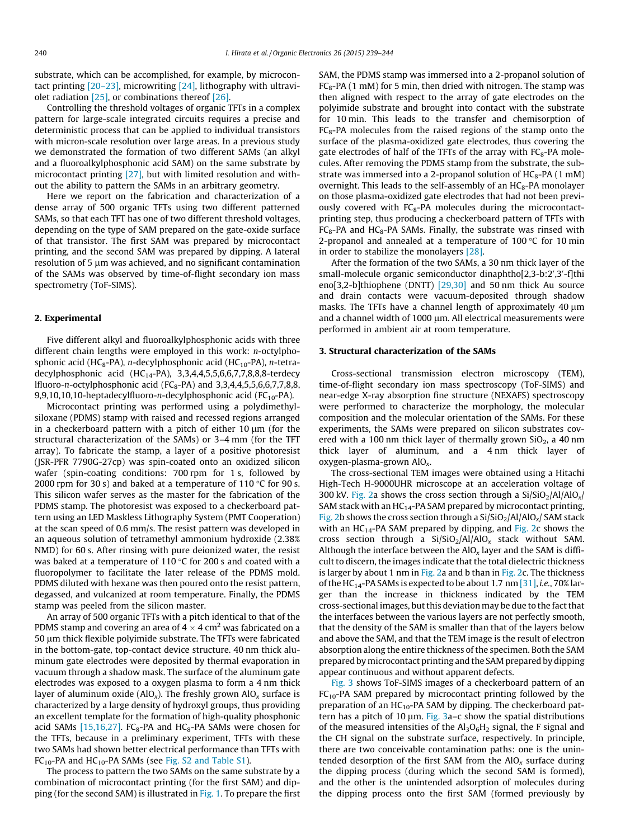substrate, which can be accomplished, for example, by microcontact printing [\[20–23\]](#page-5-0), microwriting [\[24\],](#page-5-0) lithography with ultraviolet radiation [\[25\]](#page-5-0), or combinations thereof [\[26\]](#page-5-0).

Controlling the threshold voltages of organic TFTs in a complex pattern for large-scale integrated circuits requires a precise and deterministic process that can be applied to individual transistors with micron-scale resolution over large areas. In a previous study we demonstrated the formation of two different SAMs (an alkyl and a fluoroalkylphosphonic acid SAM) on the same substrate by microcontact printing [\[27\]](#page-5-0), but with limited resolution and without the ability to pattern the SAMs in an arbitrary geometry.

Here we report on the fabrication and characterization of a dense array of 500 organic TFTs using two different patterned SAMs, so that each TFT has one of two different threshold voltages, depending on the type of SAM prepared on the gate-oxide surface of that transistor. The first SAM was prepared by microcontact printing, and the second SAM was prepared by dipping. A lateral resolution of 5  $\mu$ m was achieved, and no significant contamination of the SAMs was observed by time-of-flight secondary ion mass spectrometry (ToF-SIMS).

#### 2. Experimental

Five different alkyl and fluoroalkylphosphonic acids with three different chain lengths were employed in this work: n-octylphosphonic acid (HC<sub>8</sub>-PA), n-decylphosphonic acid (HC<sub>10</sub>-PA), n-tetradecylphosphonic acid (HC<sub>14</sub>-PA), 3,3,4,4,5,5,6,6,7,7,8,8,8-terdecy lfluoro-n-octylphosphonic acid ( $FC_8$ -PA) and 3,3,4,4,5,5,6,6,7,7,8,8, 9,9,10,10,10-heptadecylfluoro-n-decylphosphonic acid ( $FC_{10}$ -PA).

Microcontact printing was performed using a polydimethylsiloxane (PDMS) stamp with raised and recessed regions arranged in a checkerboard pattern with a pitch of either  $10 \mu m$  (for the structural characterization of the SAMs) or 3–4 mm (for the TFT array). To fabricate the stamp, a layer of a positive photoresist (JSR-PFR 7790G-27cp) was spin-coated onto an oxidized silicon wafer (spin-coating conditions: 700 rpm for 1 s, followed by 2000 rpm for 30 s) and baked at a temperature of 110  $\degree$ C for 90 s. This silicon wafer serves as the master for the fabrication of the PDMS stamp. The photoresist was exposed to a checkerboard pattern using an LED Maskless Lithography System (PMT Cooperation) at the scan speed of 0.6 mm/s. The resist pattern was developed in an aqueous solution of tetramethyl ammonium hydroxide (2.38% NMD) for 60 s. After rinsing with pure deionized water, the resist was baked at a temperature of 110  $\degree$ C for 200 s and coated with a fluoropolymer to facilitate the later release of the PDMS mold. PDMS diluted with hexane was then poured onto the resist pattern, degassed, and vulcanized at room temperature. Finally, the PDMS stamp was peeled from the silicon master.

An array of 500 organic TFTs with a pitch identical to that of the PDMS stamp and covering an area of  $4 \times 4$  cm<sup>2</sup> was fabricated on a 50 µm thick flexible polyimide substrate. The TFTs were fabricated in the bottom-gate, top-contact device structure. 40 nm thick aluminum gate electrodes were deposited by thermal evaporation in vacuum through a shadow mask. The surface of the aluminum gate electrodes was exposed to a oxygen plasma to form a 4 nm thick layer of aluminum oxide (AlO<sub>x</sub>). The freshly grown AlO<sub>x</sub> surface is characterized by a large density of hydroxyl groups, thus providing an excellent template for the formation of high-quality phosphonic acid SAMs  $[15,16,27]$ . FC<sub>8</sub>-PA and HC<sub>8</sub>-PA SAMs were chosen for the TFTs, because in a preliminary experiment, TFTs with these two SAMs had shown better electrical performance than TFTs with  $FC_{10}$ -PA and HC<sub>10</sub>-PA SAMs (see Fig. S2 and Table S1).

The process to pattern the two SAMs on the same substrate by a combination of microcontact printing (for the first SAM) and dipping (for the second SAM) is illustrated in [Fig. 1.](#page-2-0) To prepare the first SAM, the PDMS stamp was immersed into a 2-propanol solution of  $FC<sub>8</sub>-PA$  (1 mM) for 5 min, then dried with nitrogen. The stamp was then aligned with respect to the array of gate electrodes on the polyimide substrate and brought into contact with the substrate for 10 min. This leads to the transfer and chemisorption of  $FC<sub>8</sub>-PA$  molecules from the raised regions of the stamp onto the surface of the plasma-oxidized gate electrodes, thus covering the gate electrodes of half of the TFTs of the array with  $FC_8-PA$  molecules. After removing the PDMS stamp from the substrate, the substrate was immersed into a 2-propanol solution of  $HC_8$ -PA (1 mM) overnight. This leads to the self-assembly of an  $HC_8$ -PA monolayer on those plasma-oxidized gate electrodes that had not been previously covered with  $FC_8-PA$  molecules during the microcontactprinting step, thus producing a checkerboard pattern of TFTs with  $FC_8$ -PA and  $HC_8$ -PA SAMs. Finally, the substrate was rinsed with 2-propanol and annealed at a temperature of  $100 °C$  for  $10$  min in order to stabilize the monolayers [\[28\]](#page-5-0).

After the formation of the two SAMs, a 30 nm thick layer of the small-molecule organic semiconductor dinaphtho[2,3-b:2',3'-f]thi eno[3,2-b]thiophene (DNTT) [\[29,30\]](#page-5-0) and 50 nm thick Au source and drain contacts were vacuum-deposited through shadow masks. The TFTs have a channel length of approximately  $40 \mu m$ and a channel width of 1000 µm. All electrical measurements were performed in ambient air at room temperature.

#### 3. Structural characterization of the SAMs

Cross-sectional transmission electron microscopy (TEM), time-of-flight secondary ion mass spectroscopy (ToF-SIMS) and near-edge X-ray absorption fine structure (NEXAFS) spectroscopy were performed to characterize the morphology, the molecular composition and the molecular orientation of the SAMs. For these experiments, the SAMs were prepared on silicon substrates covered with a 100 nm thick layer of thermally grown  $SiO<sub>2</sub>$ , a 40 nm thick layer of aluminum, and a 4 nm thick layer of oxygen-plasma-grown  $AIO<sub>x</sub>$ .

The cross-sectional TEM images were obtained using a Hitachi High-Tech H-9000UHR microscope at an acceleration voltage of 300 kV. [Fig. 2](#page-2-0)a shows the cross section through a  $Si/SiO<sub>2</sub>/Al/AlO<sub>x</sub>/$ SAM stack with an  $HC_{14}$ -PA SAM prepared by microcontact printing, [Fig. 2](#page-2-0)b shows the cross section through a  $Si/SiO<sub>2</sub>/Al/AlO<sub>x</sub>/SM$  stack with an  $HC_{14}$ -PA SAM prepared by dipping, and [Fig. 2](#page-2-0)c shows the cross section through a  $Si/SiO_2/A1/AIO_x$  stack without SAM. Although the interface between the  $AIO<sub>x</sub>$  layer and the SAM is difficult to discern, the images indicate that the total dielectric thickness is larger by about 1 nm in  $Fig. 2a$  and b than in [Fig. 2](#page-2-0)c. The thickness of the HC<sub>14</sub>-PA SAMs is expected to be about 1.7 nm [\[31\]](#page-5-0), *i.e.*, 70% larger than the increase in thickness indicated by the TEM cross-sectional images, but this deviation may be due to the fact that the interfaces between the various layers are not perfectly smooth, that the density of the SAM is smaller than that of the layers below and above the SAM, and that the TEM image is the result of electron absorption along the entire thickness of the specimen. Both the SAM prepared by microcontact printing and the SAM prepared by dipping appear continuous and without apparent defects.

[Fig. 3](#page-2-0) shows ToF-SIMS images of a checkerboard pattern of an  $FC_{10}$ -PA SAM prepared by microcontact printing followed by the preparation of an  $HC_{10}$ -PA SAM by dipping. The checkerboard pattern has a pitch of 10  $\mu$ m. [Fig. 3a](#page-2-0)–c show the spatial distributions of the measured intensities of the  $Al_3O_6H_2$  signal, the F signal and the CH signal on the substrate surface, respectively. In principle, there are two conceivable contamination paths: one is the unintended desorption of the first SAM from the  $AIO<sub>x</sub>$  surface during the dipping process (during which the second SAM is formed), and the other is the unintended adsorption of molecules during the dipping process onto the first SAM (formed previously by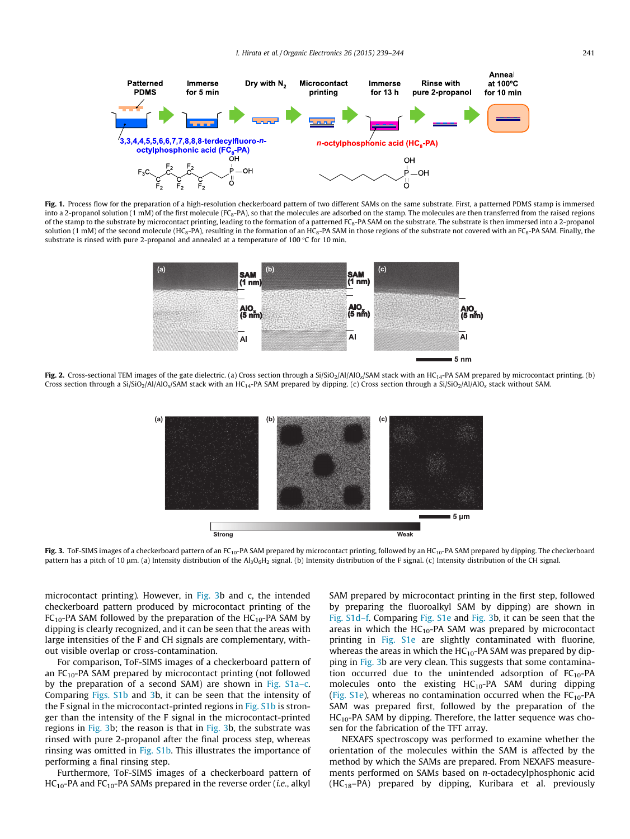<span id="page-2-0"></span>

Fig. 1. Process flow for the preparation of a high-resolution checkerboard pattern of two different SAMs on the same substrate. First, a patterned PDMS stamp is immersed into a 2-propanol solution (1 mM) of the first molecule (FC<sub>8</sub>-PA), so that the molecules are adsorbed on the stamp. The molecules are then transferred from the raised regions of the stamp to the substrate by microcontact printing, leading to the formation of a patterned FC<sub>8</sub>-PA SAM on the substrate. The substrate is then immersed into a 2-propanol solution (1 mM) of the second molecule (HC<sub>8</sub>-PA), resulting in the formation of an HC<sub>8</sub>-PA SAM in those regions of the substrate not covered with an FC<sub>8</sub>-PA SAM. Finally, the substrate is rinsed with pure 2-propanol and annealed at a temperature of 100  $\degree$ C for 10 min.



Fig. 2. Cross-sectional TEM images of the gate dielectric. (a) Cross section through a Si/SiO<sub>2</sub>/Al/AlO<sub>x</sub>/SAM stack with an HC<sub>14</sub>-PA SAM prepared by microcontact printing. (b) Cross section through a Si/SiO<sub>2</sub>/Al/AlO<sub>x</sub>/SAM stack with an HC<sub>14</sub>-PA SAM prepared by dipping. (c) Cross section through a Si/SiO<sub>2</sub>/Al/AlO<sub>x</sub> stack without SAM.



Fig. 3. ToF-SIMS images of a checkerboard pattern of an FC<sub>10</sub>-PA SAM prepared by microcontact printing, followed by an HC<sub>10</sub>-PA SAM prepared by dipping. The checkerboard pattern has a pitch of 10 µm. (a) Intensity distribution of the Al<sub>3</sub>O<sub>6</sub>H<sub>2</sub> signal. (b) Intensity distribution of the F signal. (c) Intensity distribution of the CH signal.

microcontact printing). However, in Fig. 3b and c, the intended checkerboard pattern produced by microcontact printing of the  $FC_{10}$ -PA SAM followed by the preparation of the HC<sub>10</sub>-PA SAM by dipping is clearly recognized, and it can be seen that the areas with large intensities of the F and CH signals are complementary, without visible overlap or cross-contamination.

For comparison, ToF-SIMS images of a checkerboard pattern of an  $FC_{10}$ -PA SAM prepared by microcontact printing (not followed by the preparation of a second SAM) are shown in Fig. S1a–c. Comparing Figs. S1b and 3b, it can be seen that the intensity of the F signal in the microcontact-printed regions in Fig. S1b is stronger than the intensity of the F signal in the microcontact-printed regions in Fig. 3b; the reason is that in Fig. 3b, the substrate was rinsed with pure 2-propanol after the final process step, whereas rinsing was omitted in Fig. S1b. This illustrates the importance of performing a final rinsing step.

Furthermore, ToF-SIMS images of a checkerboard pattern of  $HC_{10}$ -PA and  $FC_{10}$ -PA SAMs prepared in the reverse order (*i.e.*, alkyl SAM prepared by microcontact printing in the first step, followed by preparing the fluoroalkyl SAM by dipping) are shown in Fig. S1d–f. Comparing Fig. S1e and Fig. 3b, it can be seen that the areas in which the  $HC_{10}$ -PA SAM was prepared by microcontact printing in Fig. S1e are slightly contaminated with fluorine, whereas the areas in which the  $HC_{10}$ -PA SAM was prepared by dipping in Fig. 3b are very clean. This suggests that some contamination occurred due to the unintended adsorption of  $FC_{10}$ -PA molecules onto the existing  $HC_{10}$ -PA SAM during dipping (Fig. S1e), whereas no contamination occurred when the  $FC_{10}$ -PA SAM was prepared first, followed by the preparation of the  $HC_{10}$ -PA SAM by dipping. Therefore, the latter sequence was chosen for the fabrication of the TFT array.

NEXAFS spectroscopy was performed to examine whether the orientation of the molecules within the SAM is affected by the method by which the SAMs are prepared. From NEXAFS measurements performed on SAMs based on n-octadecylphosphonic acid (HC18–PA) prepared by dipping, Kuribara et al. previously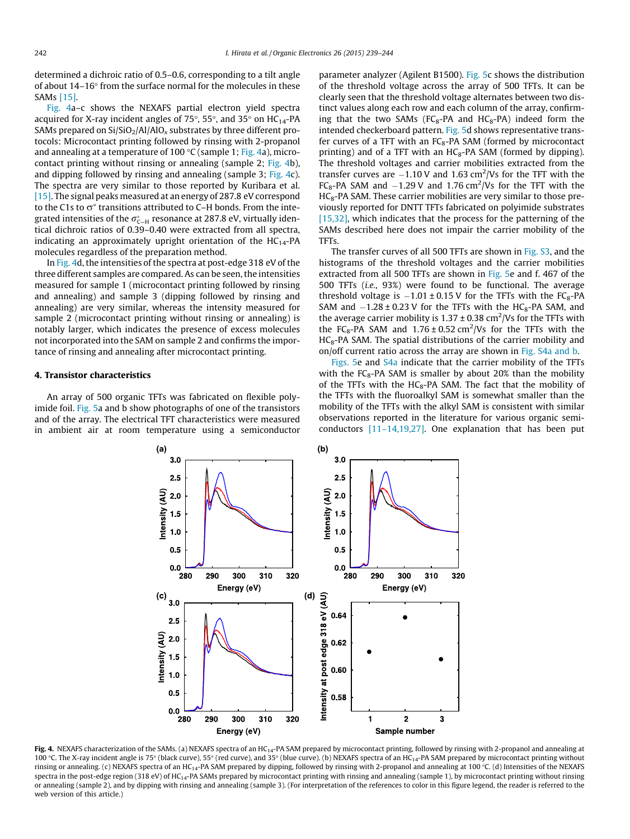determined a dichroic ratio of 0.5–0.6, corresponding to a tilt angle of about  $14-16^{\circ}$  from the surface normal for the molecules in these SAMs [\[15\].](#page-5-0)

Fig. 4a–c shows the NEXAFS partial electron yield spectra acquired for X-ray incident angles of 75 $\degree$ , 55 $\degree$ , and 35 $\degree$  on HC<sub>14</sub>-PA SAMs prepared on  $Si/SiO_2/Al/AlO_x$  substrates by three different protocols: Microcontact printing followed by rinsing with 2-propanol and annealing at a temperature of 100 °C (sample 1; Fig. 4a), microcontact printing without rinsing or annealing (sample 2; Fig. 4b), and dipping followed by rinsing and annealing (sample 3; Fig. 4c). The spectra are very similar to those reported by Kuribara et al. [\[15\]](#page-5-0). The signal peaks measured at an energy of 287.8 eV correspond to the C1s to  $\sigma^*$  transitions attributed to C–H bonds. From the integrated intensities of the  $\sigma^*_{\mathsf{C-H}}$  resonance at 287.8 eV, virtually identical dichroic ratios of 0.39–0.40 were extracted from all spectra, indicating an approximately upright orientation of the  $HC_{14}$ -PA molecules regardless of the preparation method.

In Fig. 4d, the intensities of the spectra at post-edge 318 eV of the three different samples are compared. As can be seen, the intensities measured for sample 1 (microcontact printing followed by rinsing and annealing) and sample 3 (dipping followed by rinsing and annealing) are very similar, whereas the intensity measured for sample 2 (microcontact printing without rinsing or annealing) is notably larger, which indicates the presence of excess molecules not incorporated into the SAM on sample 2 and confirms the importance of rinsing and annealing after microcontact printing.

#### 4. Transistor characteristics

An array of 500 organic TFTs was fabricated on flexible polyimide foil. [Fig. 5a](#page-4-0) and b show photographs of one of the transistors and of the array. The electrical TFT characteristics were measured in ambient air at room temperature using a semiconductor parameter analyzer (Agilent B1500). [Fig. 5](#page-4-0)c shows the distribution of the threshold voltage across the array of 500 TFTs. It can be clearly seen that the threshold voltage alternates between two distinct values along each row and each column of the array, confirming that the two SAMs ( $FC<sub>8</sub>-PA$  and  $HC<sub>8</sub>-PA$ ) indeed form the intended checkerboard pattern. [Fig. 5](#page-4-0)d shows representative transfer curves of a TFT with an  $FC_8$ -PA SAM (formed by microcontact printing) and of a TFT with an  $HC_8$ -PA SAM (formed by dipping). The threshold voltages and carrier mobilities extracted from the transfer curves are  $-1.10$  V and 1.63 cm<sup>2</sup>/Vs for the TFT with the FC<sub>8</sub>-PA SAM and  $-1.29$  V and 1.76 cm<sup>2</sup>/Vs for the TFT with the HC<sub>8</sub>-PA SAM. These carrier mobilities are very similar to those previously reported for DNTT TFTs fabricated on polyimide substrates [\[15,32\],](#page-5-0) which indicates that the process for the patterning of the SAMs described here does not impair the carrier mobility of the TFTs.

The transfer curves of all 500 TFTs are shown in Fig. S3, and the histograms of the threshold voltages and the carrier mobilities extracted from all 500 TFTs are shown in [Fig. 5](#page-4-0)e and f. 467 of the 500 TFTs (i.e., 93%) were found to be functional. The average threshold voltage is  $-1.01 \pm 0.15$  V for the TFTs with the FC<sub>8</sub>-PA SAM and  $-1.28 \pm 0.23$  V for the TFTs with the HC<sub>8</sub>-PA SAM, and the average carrier mobility is  $1.37 \pm 0.38$  cm<sup>2</sup>/Vs for the TFTs with the FC<sub>8</sub>-PA SAM and  $1.76 \pm 0.52$  cm<sup>2</sup>/Vs for the TFTs with the  $HC_8$ -PA SAM. The spatial distributions of the carrier mobility and on/off current ratio across the array are shown in Fig. S4a and b.

[Figs. 5](#page-4-0)e and S4a indicate that the carrier mobility of the TFTs with the  $FC_8$ -PA SAM is smaller by about 20% than the mobility of the TFTs with the  $HC_8$ -PA SAM. The fact that the mobility of the TFTs with the fluoroalkyl SAM is somewhat smaller than the mobility of the TFTs with the alkyl SAM is consistent with similar observations reported in the literature for various organic semiconductors [\[11–14,19,27\]](#page-5-0). One explanation that has been put



Fig. 4. NEXAFS characterization of the SAMs. (a) NEXAFS spectra of an HC<sub>14</sub>-PA SAM prepared by microcontact printing, followed by rinsing with 2-propanol and annealing at 100 °C. The X-ray incident angle is 75° (black curve), 55° (red curve), and 35° (blue curve). (b) NEXAFS spectra of an HC<sub>14</sub>-PA SAM prepared by microcontact printing without rinsing or annealing. (c) NEXAFS spectra of an HC<sub>14</sub>-PA SAM prepared by dipping, followed by rinsing with 2-propanol and annealing at 100 °C. (d) Intensities of the NEXAFS spectra in the post-edge region (318 eV) of HC<sub>14</sub>-PA SAMs prepared by microcontact printing with rinsing and annealing (sample 1), by microcontact printing without rinsing or annealing (sample 2), and by dipping with rinsing and annealing (sample 3). (For interpretation of the references to color in this figure legend, the reader is referred to the web version of this article.)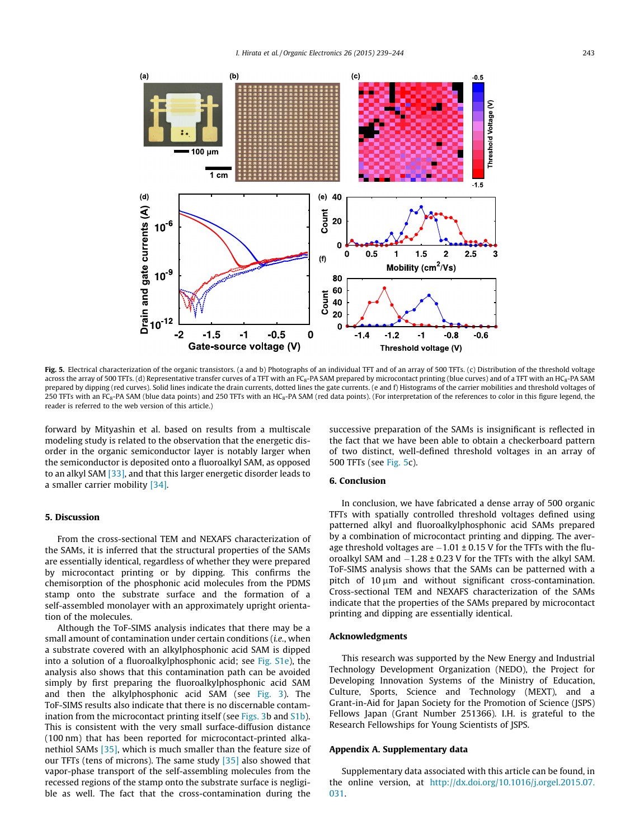<span id="page-4-0"></span>

Fig. 5. Electrical characterization of the organic transistors. (a and b) Photographs of an individual TFT and of an array of 500 TFTs. (c) Distribution of the threshold voltage across the array of 500 TFTs. (d) Representative transfer curves of a TFT with an FC<sub>8</sub>-PA SAM prepared by microcontact printing (blue curves) and of a TFT with an HC<sub>8</sub>-PA SAM prepared by dipping (red curves). Solid lines indicate the drain currents, dotted lines the gate currents. (e and f) Histograms of the carrier mobilities and threshold voltages of 250 TFTs with an FC<sub>8</sub>-PA SAM (blue data points) and 250 TFTs with an HC<sub>8</sub>-PA SAM (red data points). (For interpretation of the references to color in this figure legend, the reader is referred to the web version of this article.)

forward by Mityashin et al. based on results from a multiscale modeling study is related to the observation that the energetic disorder in the organic semiconductor layer is notably larger when the semiconductor is deposited onto a fluoroalkyl SAM, as opposed to an alkyl SAM [\[33\],](#page-5-0) and that this larger energetic disorder leads to a smaller carrier mobility [\[34\].](#page-5-0)

## 5. Discussion

From the cross-sectional TEM and NEXAFS characterization of the SAMs, it is inferred that the structural properties of the SAMs are essentially identical, regardless of whether they were prepared by microcontact printing or by dipping. This confirms the chemisorption of the phosphonic acid molecules from the PDMS stamp onto the substrate surface and the formation of a self-assembled monolayer with an approximately upright orientation of the molecules.

Although the ToF-SIMS analysis indicates that there may be a small amount of contamination under certain conditions (i.e., when a substrate covered with an alkylphosphonic acid SAM is dipped into a solution of a fluoroalkylphosphonic acid; see Fig. S1e), the analysis also shows that this contamination path can be avoided simply by first preparing the fluoroalkylphosphonic acid SAM and then the alkylphosphonic acid SAM (see [Fig. 3](#page-2-0)). The ToF-SIMS results also indicate that there is no discernable contamination from the microcontact printing itself (see [Figs. 3b](#page-2-0) and S1b). This is consistent with the very small surface-diffusion distance (100 nm) that has been reported for microcontact-printed alkanethiol SAMs [\[35\]](#page-5-0), which is much smaller than the feature size of our TFTs (tens of microns). The same study [\[35\]](#page-5-0) also showed that vapor-phase transport of the self-assembling molecules from the recessed regions of the stamp onto the substrate surface is negligible as well. The fact that the cross-contamination during the

successive preparation of the SAMs is insignificant is reflected in the fact that we have been able to obtain a checkerboard pattern of two distinct, well-defined threshold voltages in an array of 500 TFTs (see Fig. 5c).

## 6. Conclusion

In conclusion, we have fabricated a dense array of 500 organic TFTs with spatially controlled threshold voltages defined using patterned alkyl and fluoroalkylphosphonic acid SAMs prepared by a combination of microcontact printing and dipping. The average threshold voltages are  $-1.01 \pm 0.15$  V for the TFTs with the fluoroalkyl SAM and  $-1.28 \pm 0.23$  V for the TFTs with the alkyl SAM. ToF-SIMS analysis shows that the SAMs can be patterned with a pitch of  $10 \mu m$  and without significant cross-contamination. Cross-sectional TEM and NEXAFS characterization of the SAMs indicate that the properties of the SAMs prepared by microcontact printing and dipping are essentially identical.

### Acknowledgments

This research was supported by the New Energy and Industrial Technology Development Organization (NEDO), the Project for Developing Innovation Systems of the Ministry of Education, Culture, Sports, Science and Technology (MEXT), and a Grant-in-Aid for Japan Society for the Promotion of Science (JSPS) Fellows Japan (Grant Number 251366). I.H. is grateful to the Research Fellowships for Young Scientists of JSPS.

#### Appendix A. Supplementary data

Supplementary data associated with this article can be found, in the online version, at [http://dx.doi.org/10.1016/j.orgel.2015.07.](http://dx.doi.org/10.1016/j.orgel.2015.07.031) [031.](http://dx.doi.org/10.1016/j.orgel.2015.07.031)